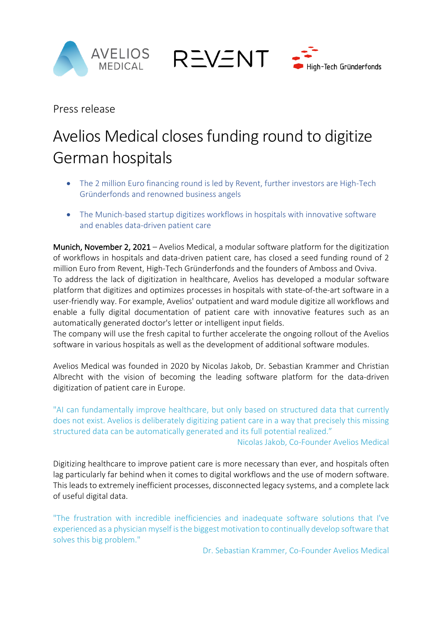



Press release

# Avelios Medical closes funding round to digitize German hospitals

**REVENT** 

- The 2 million Euro financing round is led by Revent, further investors are High-Tech Gründerfonds and renowned business angels
- The Munich-based startup digitizes workflows in hospitals with innovative software and enables data-driven patient care

Munich, November 2, 2021 – Avelios Medical, a modular software platform for the digitization of workflows in hospitals and data-driven patient care, has closed a seed funding round of 2 million Euro from Revent, High-Tech Gründerfonds and the founders of Amboss and Oviva. To address the lack of digitization in healthcare, Avelios has developed a modular software platform that digitizes and optimizes processes in hospitals with state-of-the-art software in a user-friendly way. For example, Avelios' outpatient and ward module digitize all workflows and enable a fully digital documentation of patient care with innovative features such as an automatically generated doctor's letter or intelligent input fields.

The company will use the fresh capital to further accelerate the ongoing rollout of the Avelios software in various hospitals as well as the development of additional software modules.

Avelios Medical was founded in 2020 by Nicolas Jakob, Dr. Sebastian Krammer and Christian Albrecht with the vision of becoming the leading software platform for the data-driven digitization of patient care in Europe.

"AI can fundamentally improve healthcare, but only based on structured data that currently does not exist. Avelios is deliberately digitizing patient care in a way that precisely this missing structured data can be automatically generated and its full potential realized."

Nicolas Jakob, Co-Founder Avelios Medical

Digitizing healthcare to improve patient care is more necessary than ever, and hospitals often lag particularly far behind when it comes to digital workflows and the use of modern software. This leads to extremely inefficient processes, disconnected legacy systems, and a complete lack of useful digital data.

"The frustration with incredible inefficiencies and inadequate software solutions that I've experienced as a physician myself is the biggest motivation to continually develop software that solves this big problem."

Dr. Sebastian Krammer, Co-Founder Avelios Medical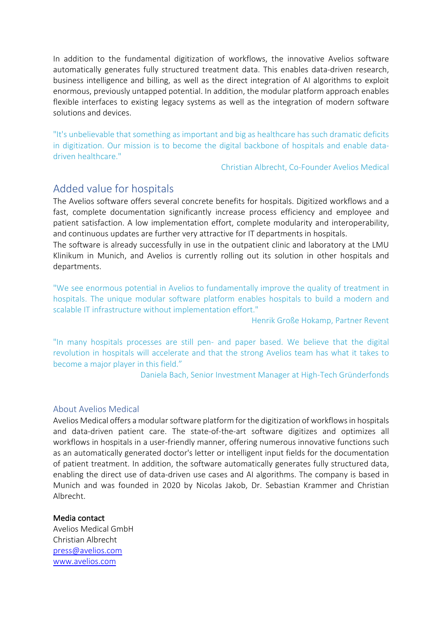In addition to the fundamental digitization of workflows, the innovative Avelios software automatically generates fully structured treatment data. This enables data-driven research, business intelligence and billing, as well as the direct integration of AI algorithms to exploit enormous, previously untapped potential. In addition, the modular platform approach enables flexible interfaces to existing legacy systems as well as the integration of modern software solutions and devices.

"It's unbelievable that something as important and big as healthcare has such dramatic deficits in digitization. Our mission is to become the digital backbone of hospitals and enable datadriven healthcare."

Christian Albrecht, Co-Founder Avelios Medical

## Added value for hospitals

The Avelios software offers several concrete benefits for hospitals. Digitized workflows and a fast, complete documentation significantly increase process efficiency and employee and patient satisfaction. A low implementation effort, complete modularity and interoperability, and continuous updates are further very attractive for IT departments in hospitals.

The software is already successfully in use in the outpatient clinic and laboratory at the LMU Klinikum in Munich, and Avelios is currently rolling out its solution in other hospitals and departments.

"We see enormous potential in Avelios to fundamentally improve the quality of treatment in hospitals. The unique modular software platform enables hospitals to build a modern and scalable IT infrastructure without implementation effort."

Henrik Große Hokamp, Partner Revent

"In many hospitals processes are still pen- and paper based. We believe that the digital revolution in hospitals will accelerate and that the strong Avelios team has what it takes to become a major player in this field."

Daniela Bach, Senior Investment Manager at High-Tech Gründerfonds

#### About Avelios Medical

Avelios Medical offers a modular software platform for the digitization of workflows in hospitals and data-driven patient care. The state-of-the-art software digitizes and optimizes all workflows in hospitals in a user-friendly manner, offering numerous innovative functions such as an automatically generated doctor's letter or intelligent input fields for the documentation of patient treatment. In addition, the software automatically generates fully structured data, enabling the direct use of data-driven use cases and AI algorithms. The company is based in Munich and was founded in 2020 by Nicolas Jakob, Dr. Sebastian Krammer and Christian Albrecht.

#### Media contact

Avelios Medical GmbH Christian Albrecht press@avelios.com www.avelios.com